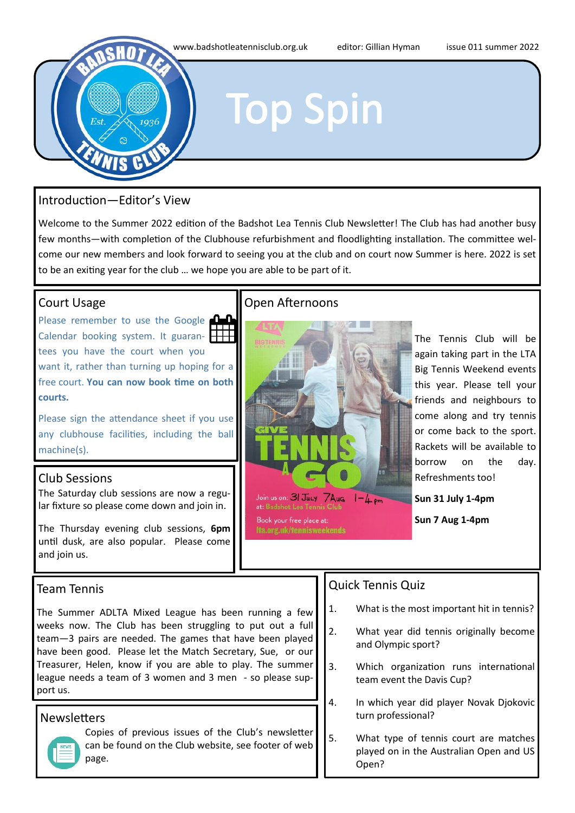

### Introduction—Editor's View

Welcome to the Summer 2022 edition of the Badshot Lea Tennis Club Newsletter! The Club has had another busy few months—with completion of the Clubhouse refurbishment and floodlighting installation. The committee welcome our new members and look forward to seeing you at the club and on court now Summer is here. 2022 is set to be an exiting year for the club … we hope you are able to be part of it.

### Court Usage

Please remember to use the Google Calendar booking system. It guaran- $\mathbf \mathsf H$ tees you have the court when you want it, rather than turning up hoping for a free court. **You can now book time on both courts.**

Please sign the attendance sheet if you use any clubhouse facilities, including the ball machine(s).

### Club Sessions

The Saturday club sessions are now a regular fixture so please come down and join in.

The Thursday evening club sessions, **6pm** until dusk, are also popular. Please come and join us.

### Team Tennis

The Summer ADLTA Mixed League has been running a few weeks now. The Club has been struggling to put out a full team—3 pairs are needed. The games that have been played have been good. Please let the Match Secretary, Sue, or our Treasurer, Helen, know if you are able to play. The summer league needs a team of 3 women and 3 men - so please support us.

### **Newsletters**



Copies of previous issues of the Club's newsletter can be found on the Club website, see footer of web page.

### Open Afternoons



The Tennis Club will be again taking part in the LTA Big Tennis Weekend events this year. Please tell your friends and neighbours to come along and try tennis or come back to the sport. Rackets will be available to borrow on the day. Refreshments too!

**Sun 31 July 1-4pm**

**Sun 7 Aug 1-4pm**

### Quick Tennis Quiz

- 1. What is the most important hit in tennis?
- 2. What year did tennis originally become and Olympic sport?
- 3. Which organization runs international team event the Davis Cup?
- 4. In which year did player Novak Djokovic turn professional?
- 5. What type of tennis court are matches played on in the Australian Open and US Open?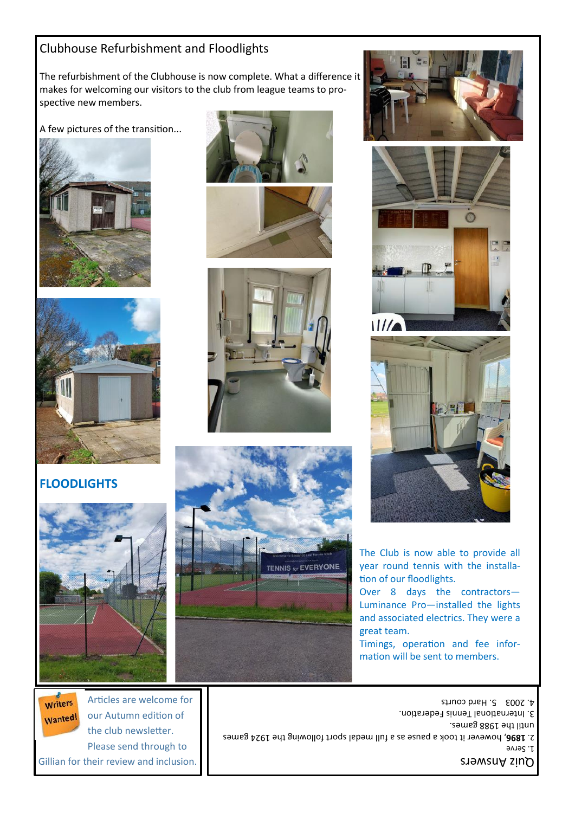### Clubhouse Refurbishment and Floodlights

The refurbishment of the Clubhouse is now complete. What a difference it makes for welcoming our visitors to the club from league teams to prospective new members.

A few pictures of the transition...





### **FLOODLIGHTS**



Writers our Autumn edition of Wanted! the club newsletter. Please send through to Gillian for their review and inclusion.













The Club is now able to provide all year round tennis with the installation of our floodlights.

Over 8 days the contractors— Luminance Pro—installed the lights and associated electrics. They were a great team.

Timings, operation and fee information will be sent to members.

Quiz Answers 1. Serve , however it took a pause as a full medal sport following the 1924 games **1896** 2. until the 1988 games. 3. International Tennis Federation. Articles are welcome for **Articles** are welcome for **Articles** are welcome for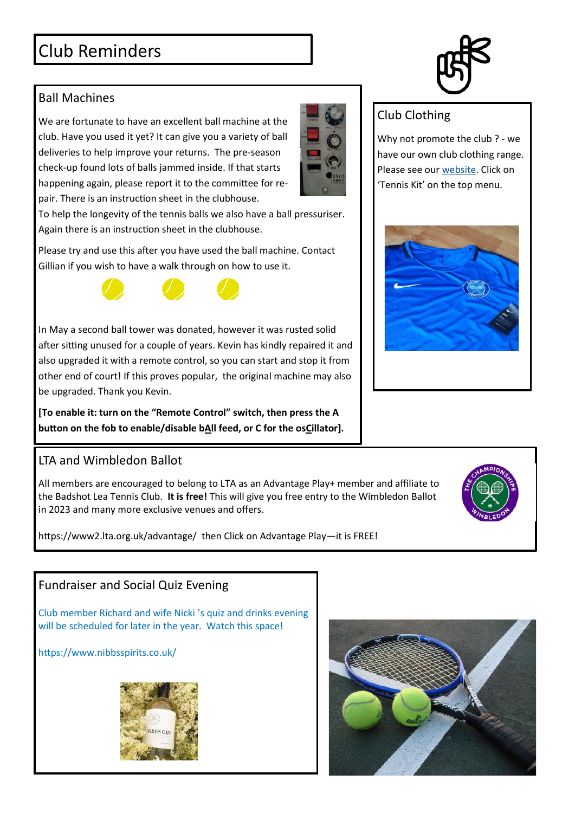# Club Reminders

## Ball Machines

We are fortunate to have an excellent ball machine at the club. Have you used it yet? It can give you a variety of ball deliveries to help improve your returns. The pre-season check-up found lots of balls jammed inside. If that starts happening again, please report it to the committee for repair. There is an instruction sheet in the clubhouse.

To help the longevity of the tennis balls we also have a ball pressuriser. Again there is an instruction sheet in the clubhouse.

Please try and use this after you have used the ball machine. Contact Gillian if you wish to have a walk through on how to use it.

In May a second ball tower was donated, however it was rusted solid after sitting unused for a couple of years. Kevin has kindly repaired it and also upgraded it with a remote control, so you can start and stop it from other end of court! If this proves popular, the original machine may also be upgraded. Thank you Kevin.

**[To enable it: turn on the "Remote Control" switch, then press the A button on the fob to enable/disable bAll feed, or C for the osCillator].**

# LTA and Wimbledon Ballot

All members are encouraged to belong to LTA as an Advantage Play+ member and affiliate to the Badshot Lea Tennis Club. **It is free!** This will give you free entry to the Wimbledon Ballot in 2023 and many more exclusive venues and offers.

https://www2.lta.org.uk/advantage/ then Click on Advantage Play—it is FREE!

# Fundraiser and Social Quiz Evening

Club member Richard and wife Nicki 's quiz and drinks evening will be scheduled for later in the year. Watch this space!

https://www.nibbsspirits.co.uk/









## Club Clothing

Why not promote the club ? - we have our own club clothing range. Please see our [website.](http://www.badshotleatennisclub.org.uk) Click on 'Tennis Kit' on the top menu.